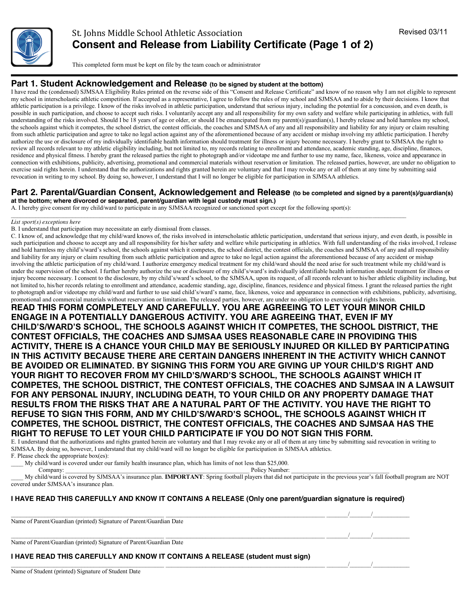

This completed form must be kept on file by the team coach or administrator

### **Part 1. Student Acknowledgement and Release (to be signed by student at the bottom)**

I have read the (condensed) SJMSAA Eligibility Rules printed on the reverse side of this "Consent and Release Certificate" and know of no reason why I am not eligible to represent my school in interscholastic athletic competition. If accepted as a representative, I agree to follow the rules of my school and SJMSAA and to abide by their decisions. I know that athletic participation is a privilege. I know of the risks involved in athletic participation, understand that serious injury, including the potential for a concussion, and even death, is possible in such participation, and choose to accept such risks. I voluntarily accept any and all responsibility for my own safety and welfare while participating in athletics, with full understanding of the risks involved. Should I be 18 years of age or older, or should I be emancipated from my parent(s)/guardian(s), I hereby release and hold harmless my school, the schools against which it competes, the school district, the contest officials, the coaches and SJMSAA of any and all responsibility and liability for any injury or claim resulting from such athletic participation and agree to take no legal action against any of the aforementioned because of any accident or mishap involving my athletic participation. I hereby authorize the use or disclosure of my individually identifiable health information should treatment for illness or injury become necessary. I hereby grant to SJMSAA the right to review all records relevant to my athletic eligibility including, but not limited to, my records relating to enrollment and attendance, academic standing, age, discipline, finances, residence and physical fitness. I hereby grant the released parties the right to photograph and/or videotape me and further to use my name, face, likeness, voice and appearance in connection with exhibitions, publicity, advertising, promotional and commercial materials without reservation or limitation. The released parties, however, are under no obligation to exercise said rights herein. I understand that the authorizations and rights granted herein are voluntary and that I may revoke any or all of them at any time by submitting said revocation in writing to my school. By doing so, however, I understand that I will no longer be eligible for participation in SJMSAA athletics.

## **Part 2. Parental/Guardian Consent, Acknowledgement and Release (to be completed and signed by a parent(s)/guardian(s)**

**at the bottom; where divorced or separated, parent/guardian with legal custody must sign.)**

A. I hereby give consent for my child/ward to participate in any SJMSAA recognized or sanctioned sport except for the following sport(s):

#### *List sport(s) exceptions here*

B. I understand that participation may necessitate an early dismissal from classes.

C. I know of, and acknowledge that my child/ward knows of, the risks involved in interscholastic athletic participation, understand that serious injury, and even death, is possible in such participation and choose to accept any and all responsibility for his/her safety and welfare while participating in athletics. With full understanding of the risks involved, I release and hold harmless my child's/ward's school, the schools against which it competes, the school district, the contest officials, the coaches and SJMSAA of any and all responsibility and liability for any injury or claim resulting from such athletic participation and agree to take no legal action against the aforementioned because of any accident or mishap involving the athletic participation of my child/ward. I authorize emergency medical treatment for my child/ward should the need arise for such treatment while my child/ward is under the supervision of the school. I further hereby authorize the use or disclosure of my child's/ward's individually identifiable health information should treatment for illness or injury become necessary. I consent to the disclosure, by my child's/ward's school, to the SJMSAA, upon its request, of all records relevant to his/her athletic eligibility including, but not limited to, his/her records relating to enrollment and attendance, academic standing, age, discipline, finances, residence and physical fitness. I grant the released parties the right to photograph and/or videotape my child/ward and further to use said child's/ward's name, face, likeness, voice and appearance in connection with exhibitions, publicity, advertising, promotional and commercial materials without reservation or limitation. The released parties, however, are under no obligation to exercise said rights herein.

**READ THIS FORM COMPLETELY AND CAREFULLY. YOU ARE AGREEING TO LET YOUR MINOR CHILD ENGAGE IN A POTENTIALLY DANGEROUS ACTIVITY. YOU ARE AGREEING THAT, EVEN IF MY CHILD'S/WARD'S SCHOOL, THE SCHOOLS AGAINST WHICH IT COMPETES, THE SCHOOL DISTRICT, THE CONTEST OFFICIALS, THE COACHES AND SJMSAA USES REASONABLE CARE IN PROVIDING THIS ACTIVITY, THERE IS A CHANCE YOUR CHILD MAY BE SERIOUSLY INJURED OR KILLED BY PARTICIPATING IN THIS ACTIVITY BECAUSE THERE ARE CERTAIN DANGERS INHERENT IN THE ACTIVITY WHICH CANNOT BE AVOIDED OR ELIMINATED. BY SIGNING THIS FORM YOU ARE GIVING UP YOUR CHILD'S RIGHT AND YOUR RIGHT TO RECOVER FROM MY CHILD'S/WARD'S SCHOOL, THE SCHOOLS AGAINST WHICH IT COMPETES, THE SCHOOL DISTRICT, THE CONTEST OFFICIALS, THE COACHES AND SJMSAA IN A LAWSUIT FOR ANY PERSONAL INJURY, INCLUDING DEATH, TO YOUR CHILD OR ANY PROPERTY DAMAGE THAT RESULTS FROM THE RISKS THAT ARE A NATURAL PART OF THE ACTIVITY. YOU HAVE THE RIGHT TO REFUSE TO SIGN THIS FORM, AND MY CHILD'S/WARD'S SCHOOL, THE SCHOOLS AGAINST WHICH IT COMPETES, THE SCHOOL DISTRICT, THE CONTEST OFFICIALS, THE COACHES AND SJMSAA HAS THE RIGHT TO REFUSE TO LET YOUR CHILD PARTICIPATE IF YOU DO NOT SIGN THIS FORM.**

E. I understand that the authorizations and rights granted herein are voluntary and that I may revoke any or all of them at any time by submitting said revocation in writing to SJMSAA. By doing so, however, I understand that my child/ward will no longer be eligible for participation in SJMSAA athletics. F. Please check the appropriate box(es):

My child/ward is covered under our family health insurance plan, which has limits of not less than \$25,000.

Company: \_\_\_\_\_\_\_\_\_\_\_\_\_\_\_\_\_\_\_\_\_\_\_\_\_\_\_\_\_\_\_\_\_\_\_\_\_\_\_\_\_\_\_\_\_\_\_\_\_\_\_\_\_\_\_\_\_\_\_\_ Policy Number: \_\_\_\_\_\_\_\_\_\_\_\_\_\_\_\_\_\_\_\_\_\_\_\_\_\_\_\_\_\_\_\_

\_\_\_\_ My child/ward is covered by SJMSAA's insurance plan. **IMPORTANT**: Spring football players that did not participate in the previous year's fall football program are NOT covered under SJMSAA's insurance plan.

#### **I HAVE READ THIS CAREFULLY AND KNOW IT CONTAINS A RELEASE (Only one parent/guardian signature is required)**

 $\frac{1}{\sqrt{1-\frac{1}{2}}}$ 

 $\mathcal{L} = \mathcal{L} = \mathcal{L} = \mathcal{L} = \mathcal{L} = \mathcal{L} = \mathcal{L} = \mathcal{L} = \mathcal{L} = \mathcal{L} = \mathcal{L} = \mathcal{L} = \mathcal{L} = \mathcal{L} = \mathcal{L} = \mathcal{L} = \mathcal{L} = \mathcal{L} = \mathcal{L} = \mathcal{L} = \mathcal{L} = \mathcal{L} = \mathcal{L} = \mathcal{L} = \mathcal{L} = \mathcal{L} = \mathcal{L} = \mathcal{L} = \mathcal{L} = \mathcal{L} = \mathcal{L} = \mathcal$ 

Name of Parent/Guardian (printed) Signature of Parent/Guardian Date

 $\mathcal{L}=\mathcal{L}=\mathcal{L}=\mathcal{L}=\mathcal{L}=\mathcal{L}=\mathcal{L}=\mathcal{L}=\mathcal{L}=\mathcal{L}=\mathcal{L}=\mathcal{L}=\mathcal{L}=\mathcal{L}=\mathcal{L}=\mathcal{L}=\mathcal{L}=\mathcal{L}=\mathcal{L}=\mathcal{L}=\mathcal{L}=\mathcal{L}=\mathcal{L}=\mathcal{L}=\mathcal{L}=\mathcal{L}=\mathcal{L}=\mathcal{L}=\mathcal{L}=\mathcal{L}=\mathcal{L}=\mathcal{L}=\mathcal{L}=\mathcal{L}=\mathcal{L}=\mathcal{L}=\mathcal{$ Name of Parent/Guardian (printed) Signature of Parent/Guardian Date

#### **I HAVE READ THIS CAREFULLY AND KNOW IT CONTAINS A RELEASE (student must sign)**

Name of Student (printed) Signature of Student Date